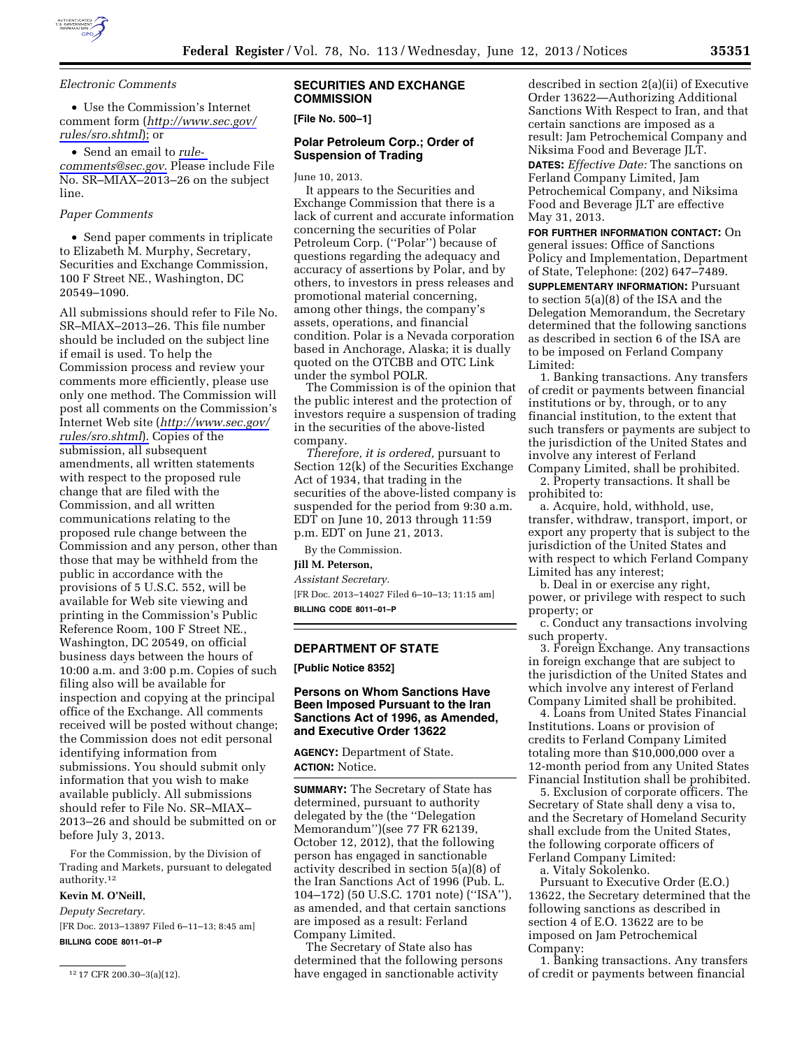

*Electronic Comments* 

• Use the Commission's Internet comment form (*[http://www.sec.gov/](http://www.sec.gov/rules/sro.shtml)  [rules/sro.shtml](http://www.sec.gov/rules/sro.shtml)*); or

• Send an email to *[rule](mailto:rule-comments@sec.gov)[comments@sec.gov](mailto:rule-comments@sec.gov)*. Please include File No. SR–MIAX–2013–26 on the subject line.

### *Paper Comments*

• Send paper comments in triplicate to Elizabeth M. Murphy, Secretary, Securities and Exchange Commission, 100 F Street NE., Washington, DC 20549–1090.

All submissions should refer to File No. SR–MIAX–2013–26. This file number should be included on the subject line if email is used. To help the Commission process and review your comments more efficiently, please use only one method. The Commission will post all comments on the Commission's Internet Web site (*[http://www.sec.gov/](http://www.sec.gov/rules/sro.shtml)  [rules/sro.shtml](http://www.sec.gov/rules/sro.shtml)*). Copies of the submission, all subsequent amendments, all written statements with respect to the proposed rule change that are filed with the Commission, and all written communications relating to the proposed rule change between the Commission and any person, other than those that may be withheld from the public in accordance with the provisions of 5 U.S.C. 552, will be available for Web site viewing and printing in the Commission's Public Reference Room, 100 F Street NE., Washington, DC 20549, on official business days between the hours of 10:00 a.m. and 3:00 p.m. Copies of such filing also will be available for inspection and copying at the principal office of the Exchange. All comments received will be posted without change; the Commission does not edit personal identifying information from submissions. You should submit only information that you wish to make available publicly. All submissions should refer to File No. SR–MIAX– 2013–26 and should be submitted on or before July 3, 2013.

For the Commission, by the Division of Trading and Markets, pursuant to delegated authority.12

# **Kevin M. O'Neill,**

*Deputy Secretary.*  [FR Doc. 2013–13897 Filed 6–11–13; 8:45 am] **BILLING CODE 8011–01–P** 

12 17 CFR 200.30–3(a)(12).

## **SECURITIES AND EXCHANGE COMMISSION**

### **[File No. 500–1]**

## **Polar Petroleum Corp.; Order of Suspension of Trading**

June 10, 2013.

It appears to the Securities and Exchange Commission that there is a lack of current and accurate information concerning the securities of Polar Petroleum Corp. (''Polar'') because of questions regarding the adequacy and accuracy of assertions by Polar, and by others, to investors in press releases and promotional material concerning, among other things, the company's assets, operations, and financial condition. Polar is a Nevada corporation based in Anchorage, Alaska; it is dually quoted on the OTCBB and OTC Link under the symbol POLR.

The Commission is of the opinion that the public interest and the protection of investors require a suspension of trading in the securities of the above-listed company.

*Therefore, it is ordered,* pursuant to Section 12(k) of the Securities Exchange Act of 1934, that trading in the securities of the above-listed company is suspended for the period from 9:30 a.m. EDT on June 10, 2013 through 11:59 p.m. EDT on June 21, 2013.

By the Commission.

# **Jill M. Peterson,**

*Assistant Secretary.* 

[FR Doc. 2013–14027 Filed 6–10–13; 11:15 am] **BILLING CODE 8011–01–P** 

### **DEPARTMENT OF STATE**

**[Public Notice 8352]** 

# **Persons on Whom Sanctions Have Been Imposed Pursuant to the Iran Sanctions Act of 1996, as Amended, and Executive Order 13622**

**AGENCY:** Department of State. **ACTION:** Notice.

**SUMMARY:** The Secretary of State has determined, pursuant to authority delegated by the (the ''Delegation Memorandum'')(see 77 FR 62139, October 12, 2012), that the following person has engaged in sanctionable activity described in section 5(a)(8) of the Iran Sanctions Act of 1996 (Pub. L. 104–172) (50 U.S.C. 1701 note) (''ISA''), as amended, and that certain sanctions are imposed as a result: Ferland Company Limited.

The Secretary of State also has determined that the following persons have engaged in sanctionable activity

described in section 2(a)(ii) of Executive Order 13622—Authorizing Additional Sanctions With Respect to Iran, and that certain sanctions are imposed as a result: Jam Petrochemical Company and Niksima Food and Beverage JLT. **DATES:** *Effective Date:* The sanctions on Ferland Company Limited, Jam Petrochemical Company, and Niksima Food and Beverage JLT are effective May 31, 2013.

**FOR FURTHER INFORMATION CONTACT:** On general issues: Office of Sanctions Policy and Implementation, Department of State, Telephone: (202) 647–7489.

**SUPPLEMENTARY INFORMATION: Pursuant** to section 5(a)(8) of the ISA and the Delegation Memorandum, the Secretary determined that the following sanctions as described in section 6 of the ISA are to be imposed on Ferland Company Limited:

1. Banking transactions. Any transfers of credit or payments between financial institutions or by, through, or to any financial institution, to the extent that such transfers or payments are subject to the jurisdiction of the United States and involve any interest of Ferland

Company Limited, shall be prohibited. 2. Property transactions. It shall be prohibited to:

a. Acquire, hold, withhold, use, transfer, withdraw, transport, import, or export any property that is subject to the jurisdiction of the United States and with respect to which Ferland Company Limited has any interest;

b. Deal in or exercise any right, power, or privilege with respect to such property; or

c. Conduct any transactions involving such property.

3. Foreign Exchange. Any transactions in foreign exchange that are subject to the jurisdiction of the United States and which involve any interest of Ferland Company Limited shall be prohibited.

4. Loans from United States Financial Institutions. Loans or provision of credits to Ferland Company Limited totaling more than \$10,000,000 over a 12-month period from any United States Financial Institution shall be prohibited.

5. Exclusion of corporate officers. The Secretary of State shall deny a visa to, and the Secretary of Homeland Security shall exclude from the United States, the following corporate officers of Ferland Company Limited:

a. Vitaly Sokolenko.

Pursuant to Executive Order (E.O.) 13622, the Secretary determined that the following sanctions as described in section 4 of E.O. 13622 are to be imposed on Jam Petrochemical Company:

1. Banking transactions. Any transfers of credit or payments between financial